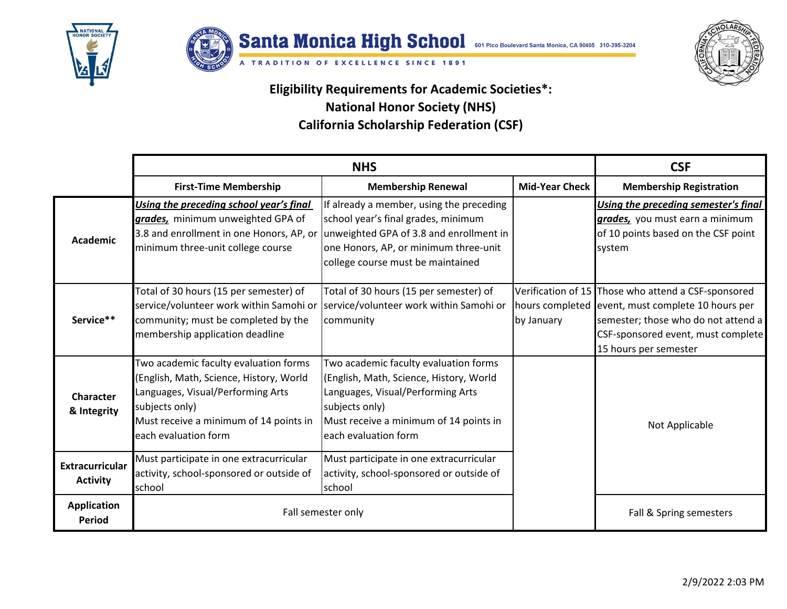



A TRADITION OF EXCELLENCE SINCE 1891



**Eligibility Requirements for Academic Societies\*:**

## **National Honor Society (NHS)**

**California Scholarship Federation (CSF)**

|                                           | <b>NHS</b>                                                                                                                                                                                                |                                                                                                                                                                                                                                                   |                               | <b>CSF</b>                                                                                                                                                                                     |
|-------------------------------------------|-----------------------------------------------------------------------------------------------------------------------------------------------------------------------------------------------------------|---------------------------------------------------------------------------------------------------------------------------------------------------------------------------------------------------------------------------------------------------|-------------------------------|------------------------------------------------------------------------------------------------------------------------------------------------------------------------------------------------|
|                                           | <b>First-Time Membership</b>                                                                                                                                                                              | <b>Membership Renewal</b>                                                                                                                                                                                                                         | <b>Mid-Year Check</b>         | <b>Membership Registration</b>                                                                                                                                                                 |
| <b>Academic</b>                           | Using the preceding school year's final<br>grades, minimum unweighted GPA of<br>minimum three-unit college course                                                                                         | If already a member, using the preceding<br>school year's final grades, minimum<br>3.8 and enrollment in one Honors, AP, or unweighted GPA of 3.8 and enrollment in<br>one Honors, AP, or minimum three-unit<br>college course must be maintained |                               | Using the preceding semester's final<br>grades, you must earn a minimum<br>of 10 points based on the CSF point<br>system                                                                       |
| Service**                                 | Total of 30 hours (15 per semester) of<br>service/volunteer work within Samohi or<br>community; must be completed by the<br>membership application deadline                                               | Total of 30 hours (15 per semester) of<br>service/volunteer work within Samohi or<br>community                                                                                                                                                    | hours completed<br>by January | Verification of 15 Those who attend a CSF-sponsored<br>event, must complete 10 hours per<br>semester; those who do not attend a<br>CSF-sponsored event, must complete<br>15 hours per semester |
| <b>Character</b><br>& Integrity           | Two academic faculty evaluation forms<br>(English, Math, Science, History, World<br>Languages, Visual/Performing Arts<br>subjects only)<br>Must receive a minimum of 14 points in<br>each evaluation form | Two academic faculty evaluation forms<br>(English, Math, Science, History, World<br>Languages, Visual/Performing Arts<br>subjects only)<br>Must receive a minimum of 14 points in<br>each evaluation form                                         |                               | Not Applicable                                                                                                                                                                                 |
| <b>Extracurricular</b><br><b>Activity</b> | Must participate in one extracurricular<br>activity, school-sponsored or outside of<br>school                                                                                                             | Must participate in one extracurricular<br>activity, school-sponsored or outside of<br><b>school</b>                                                                                                                                              |                               |                                                                                                                                                                                                |
| <b>Application</b><br>Period              | Fall semester only                                                                                                                                                                                        |                                                                                                                                                                                                                                                   |                               | Fall & Spring semesters                                                                                                                                                                        |